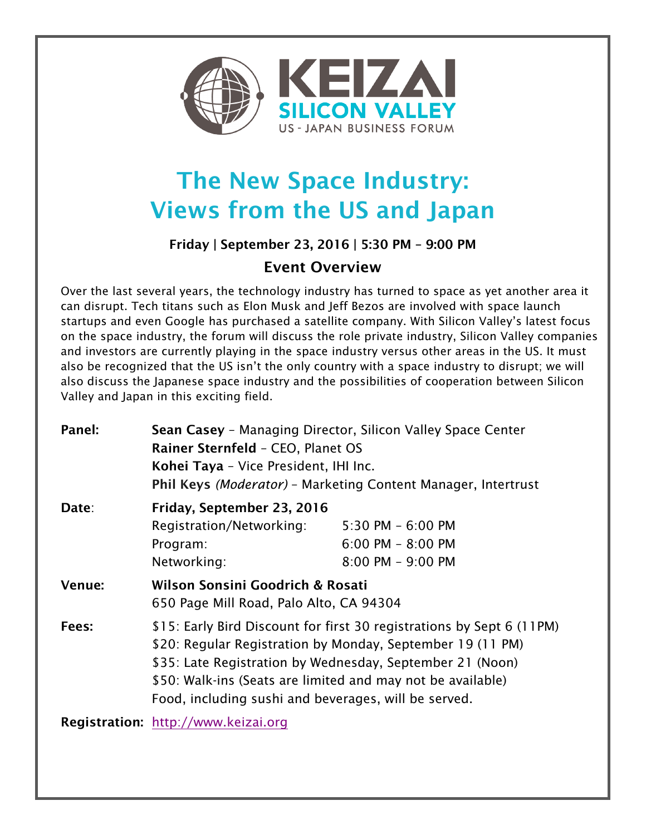

## The New Space Industry: Views from the US and Japan

## Friday | September 23, 2016 | 5:30 PM – 9:00 PM

## Event Overview

Over the last several years, the technology industry has turned to space as yet another area it can disrupt. Tech titans such as Elon Musk and Jeff Bezos are involved with space launch startups and even Google has purchased a satellite company. With Silicon Valley's latest focus on the space industry, the forum will discuss the role private industry, Silicon Valley companies and investors are currently playing in the space industry versus other areas in the US. It must also be recognized that the US isn't the only country with a space industry to disrupt; we will also discuss the Japanese space industry and the possibilities of cooperation between Silicon Valley and Japan in this exciting field.

| Panel: | Sean Casey - Managing Director, Silicon Valley Space Center<br>Rainer Sternfeld - CEO, Planet OS<br>Kohei Taya - Vice President, IHI Inc.<br>Phil Keys (Moderator) - Marketing Content Manager, Intertrust                                                                                                              |                                                                       |
|--------|-------------------------------------------------------------------------------------------------------------------------------------------------------------------------------------------------------------------------------------------------------------------------------------------------------------------------|-----------------------------------------------------------------------|
| Date:  | Friday, September 23, 2016<br>Registration/Networking:<br>Program:<br>Networking:                                                                                                                                                                                                                                       | $5:30$ PM $-6:00$ PM<br>$6:00$ PM $- 8:00$ PM<br>$8:00$ PM $-9:00$ PM |
| Venue: | Wilson Sonsini Goodrich & Rosati<br>650 Page Mill Road, Palo Alto, CA 94304                                                                                                                                                                                                                                             |                                                                       |
| Fees:  | \$15: Early Bird Discount for first 30 registrations by Sept 6 (11PM)<br>\$20: Regular Registration by Monday, September 19 (11 PM)<br>\$35: Late Registration by Wednesday, September 21 (Noon)<br>\$50: Walk-ins (Seats are limited and may not be available)<br>Food, including sushi and beverages, will be served. |                                                                       |
|        | Registration: http://www.keizai.org                                                                                                                                                                                                                                                                                     |                                                                       |